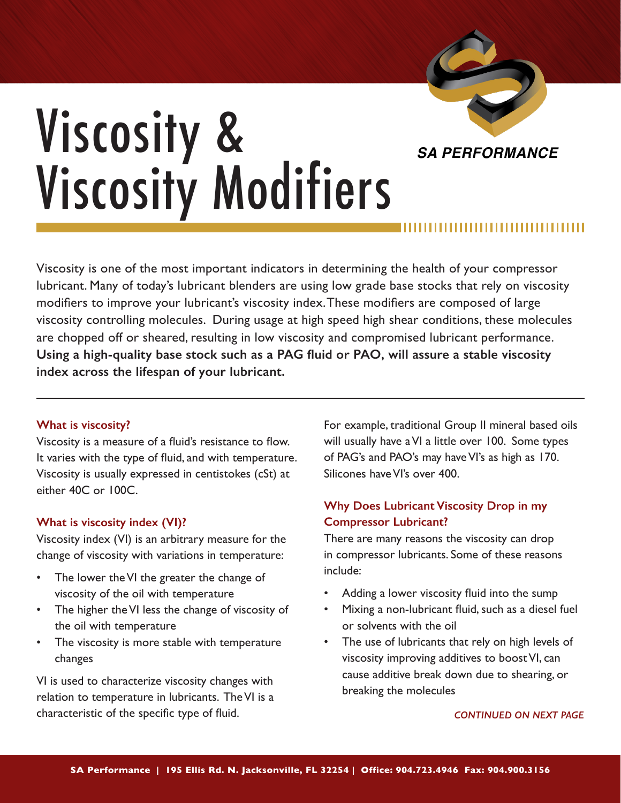

# Viscosity & Viscosity Modifiers

Viscosity is one of the most important indicators in determining the health of your compressor lubricant. Many of today's lubricant blenders are using low grade base stocks that rely on viscosity modifiers to improve your lubricant's viscosity index. These modifiers are composed of large viscosity controlling molecules. During usage at high speed high shear conditions, these molecules are chopped off or sheared, resulting in low viscosity and compromised lubricant performance. **Using a high-quality base stock such as a PAG fluid or PAO, will assure a stable viscosity index across the lifespan of your lubricant.**

## **What is viscosity?**

Viscosity is a measure of a fluid's resistance to flow. It varies with the type of fluid, and with temperature. Viscosity is usually expressed in centistokes (cSt) at either 40C or 100C.

## **What is viscosity index (VI)?**

Viscosity index (VI) is an arbitrary measure for the change of viscosity with variations in temperature:

- The lower the VI the greater the change of viscosity of the oil with temperature
- The higher the VI less the change of viscosity of the oil with temperature
- The viscosity is more stable with temperature changes

VI is used to characterize viscosity changes with relation to temperature in lubricants. The VI is a characteristic of the specific type of fluid.

For example, traditional Group II mineral based oils will usually have a VI a little over 100. Some types of PAG's and PAO's may have VI's as high as 170. Silicones have VI's over 400.

# **Why Does Lubricant Viscosity Drop in my Compressor Lubricant?**

There are many reasons the viscosity can drop in compressor lubricants. Some of these reasons include:

- Adding a lower viscosity fluid into the sump
- Mixing a non-lubricant fluid, such as a diesel fuel or solvents with the oil
- The use of lubricants that rely on high levels of viscosity improving additives to boost VI, can cause additive break down due to shearing, or breaking the molecules

#### *CONTINUED ON NEXT PAGE*